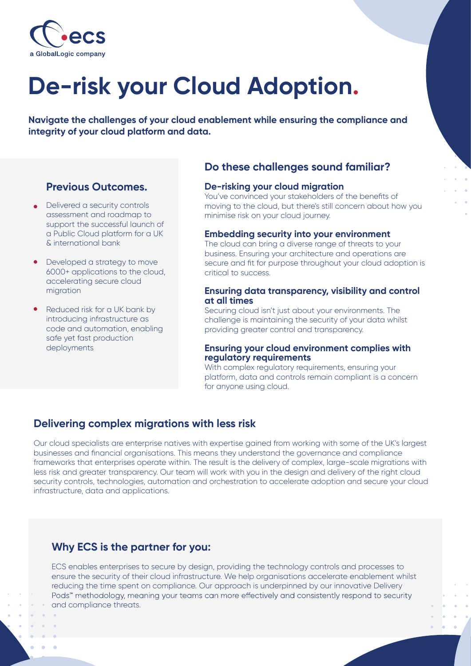

# **De-risk your Cloud Adoption.**

**Navigate the challenges of your cloud enablement while ensuring the compliance and integrity of your cloud platform and data.**

## **Previous Outcomes.**

- Delivered a security controls assessment and roadmap to support the successful launch of a Public Cloud platform for a UK & international bank
- Developed a strategy to move 6000+ applications to the cloud, accelerating secure cloud migration
- Reduced risk for a UK bank by introducing infrastructure as code and automation, enabling safe yet fast production deployments

## **Do these challenges sound familiar?**

## **De-risking your cloud migration**

You've convinced your stakeholders of the benefits of moving to the cloud, but there's still concern about how you minimise risk on your cloud journey.

### **Embedding security into your environment**

The cloud can bring a diverse range of threats to your business. Ensuring your architecture and operations are secure and fit for purpose throughout your cloud adoption is critical to success.

#### **Ensuring data transparency, visibility and control at all times**

Securing cloud isn't just about your environments. The challenge is maintaining the security of your data whilst providing greater control and transparency.

#### **Ensuring your cloud environment complies with regulatory requirements**

With complex regulatory requirements, ensuring your platform, data and controls remain compliant is a concern for anyone using cloud.

## **Delivering complex migrations with less risk**

Our cloud specialists are enterprise natives with expertise gained from working with some of the UK's largest businesses and financial organisations. This means they understand the governance and compliance frameworks that enterprises operate within. The result is the delivery of complex, large-scale migrations with less risk and greater transparency. Our team will work with you in the design and delivery of the right cloud security controls, technologies, automation and orchestration to accelerate adoption and secure your cloud infrastructure, data and applications.

## **Why ECS is the partner for you:**

ECS enables enterprises to secure by design, providing the technology controls and processes to ensure the security of their cloud infrastructure. We help organisations accelerate enablement whilst reducing the time spent on compliance. Our approach is underpinned by our innovative Delivery Pods" methodology, meaning your teams can more effectively and consistently respond to security and compliance threats.